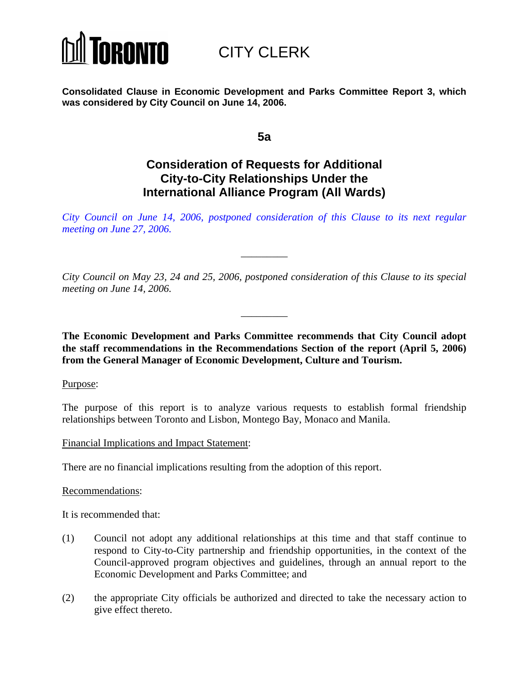

CITY CLERK

**Consolidated Clause in Economic Development and Parks Committee Report 3, which was considered by City Council on June 14, 2006.** 

**5a** 

# **Consideration of Requests for Additional City-to-City Relationships Under the International Alliance Program (All Wards)**

*[City Council on June 14, 2006, postponed consideration of this Clause to its next regular](http://www.toronto.ca/legdocs/2006/agendas/council/cc060627/edpcl005b.pdf)  meeting on June 27, 2006.*

\_\_\_\_\_\_\_\_\_

*City Council on May 23, 24 and 25, 2006, postponed consideration of this Clause to its special meeting on June 14, 2006.* 

\_\_\_\_\_\_\_\_\_

**The Economic Development and Parks Committee recommends that City Council adopt the staff recommendations in the Recommendations Section of the report (April 5, 2006) from the General Manager of Economic Development, Culture and Tourism.**

Purpose:

The purpose of this report is to analyze various requests to establish formal friendship relationships between Toronto and Lisbon, Montego Bay, Monaco and Manila.

Financial Implications and Impact Statement:

There are no financial implications resulting from the adoption of this report.

Recommendations:

It is recommended that:

- (1) Council not adopt any additional relationships at this time and that staff continue to respond to City-to-City partnership and friendship opportunities, in the context of the Council-approved program objectives and guidelines, through an annual report to the Economic Development and Parks Committee; and
- (2) the appropriate City officials be authorized and directed to take the necessary action to give effect thereto.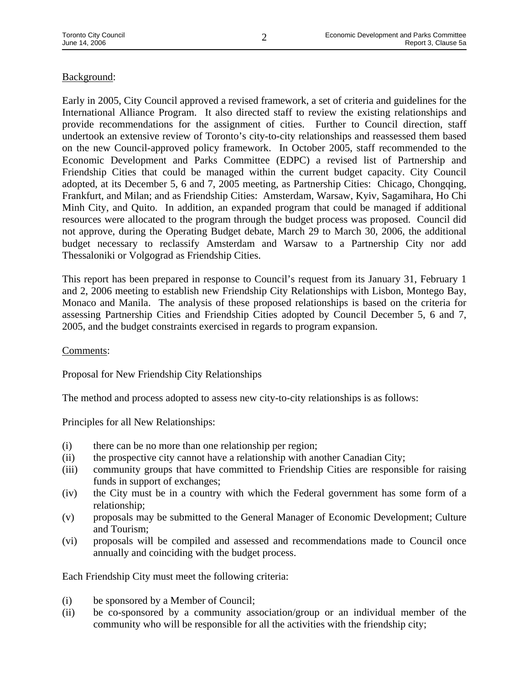## Background:

Early in 2005, City Council approved a revised framework, a set of criteria and guidelines for the International Alliance Program. It also directed staff to review the existing relationships and provide recommendations for the assignment of cities. Further to Council direction, staff undertook an extensive review of Toronto's city-to-city relationships and reassessed them based on the new Council-approved policy framework. In October 2005, staff recommended to the Economic Development and Parks Committee (EDPC) a revised list of Partnership and Friendship Cities that could be managed within the current budget capacity. City Council adopted, at its December 5, 6 and 7, 2005 meeting, as Partnership Cities: Chicago, Chongqing, Frankfurt, and Milan; and as Friendship Cities: Amsterdam, Warsaw, Kyiv, Sagamihara, Ho Chi Minh City, and Quito. In addition, an expanded program that could be managed if additional resources were allocated to the program through the budget process was proposed. Council did not approve, during the Operating Budget debate, March 29 to March 30, 2006, the additional budget necessary to reclassify Amsterdam and Warsaw to a Partnership City nor add Thessaloniki or Volgograd as Friendship Cities.

This report has been prepared in response to Council's request from its January 31, February 1 and 2, 2006 meeting to establish new Friendship City Relationships with Lisbon, Montego Bay, Monaco and Manila. The analysis of these proposed relationships is based on the criteria for assessing Partnership Cities and Friendship Cities adopted by Council December 5, 6 and 7, 2005, and the budget constraints exercised in regards to program expansion.

Comments:

Proposal for New Friendship City Relationships

The method and process adopted to assess new city-to-city relationships is as follows:

Principles for all New Relationships:

- (i) there can be no more than one relationship per region;
- (ii) the prospective city cannot have a relationship with another Canadian City;
- (iii) community groups that have committed to Friendship Cities are responsible for raising funds in support of exchanges;
- (iv) the City must be in a country with which the Federal government has some form of a relationship;
- (v) proposals may be submitted to the General Manager of Economic Development; Culture and Tourism;
- (vi) proposals will be compiled and assessed and recommendations made to Council once annually and coinciding with the budget process.

Each Friendship City must meet the following criteria:

- (i) be sponsored by a Member of Council;
- (ii) be co-sponsored by a community association/group or an individual member of the community who will be responsible for all the activities with the friendship city;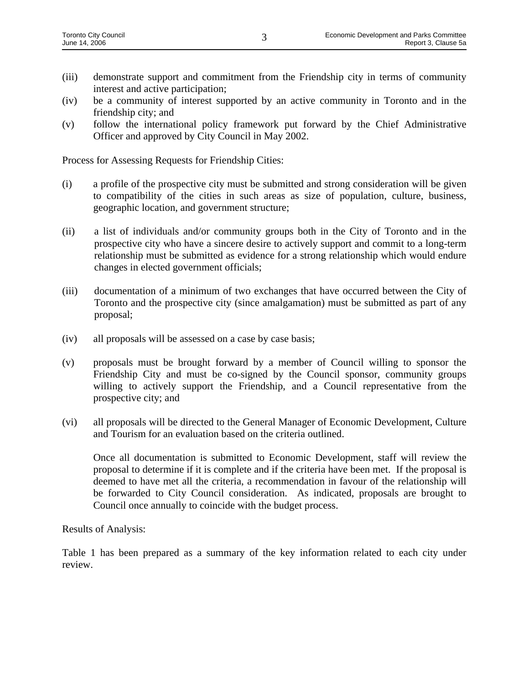- (iii) demonstrate support and commitment from the Friendship city in terms of community interest and active participation;
- (iv) be a community of interest supported by an active community in Toronto and in the friendship city; and
- (v) follow the international policy framework put forward by the Chief Administrative Officer and approved by City Council in May 2002.

Process for Assessing Requests for Friendship Cities:

- (i) a profile of the prospective city must be submitted and strong consideration will be given to compatibility of the cities in such areas as size of population, culture, business, geographic location, and government structure;
- (ii) a list of individuals and/or community groups both in the City of Toronto and in the prospective city who have a sincere desire to actively support and commit to a long-term relationship must be submitted as evidence for a strong relationship which would endure changes in elected government officials;
- (iii) documentation of a minimum of two exchanges that have occurred between the City of Toronto and the prospective city (since amalgamation) must be submitted as part of any proposal;
- (iv) all proposals will be assessed on a case by case basis;
- (v) proposals must be brought forward by a member of Council willing to sponsor the Friendship City and must be co-signed by the Council sponsor, community groups willing to actively support the Friendship, and a Council representative from the prospective city; and
- (vi) all proposals will be directed to the General Manager of Economic Development, Culture and Tourism for an evaluation based on the criteria outlined.

Once all documentation is submitted to Economic Development, staff will review the proposal to determine if it is complete and if the criteria have been met. If the proposal is deemed to have met all the criteria, a recommendation in favour of the relationship will be forwarded to City Council consideration. As indicated, proposals are brought to Council once annually to coincide with the budget process.

Results of Analysis:

Table 1 has been prepared as a summary of the key information related to each city under review.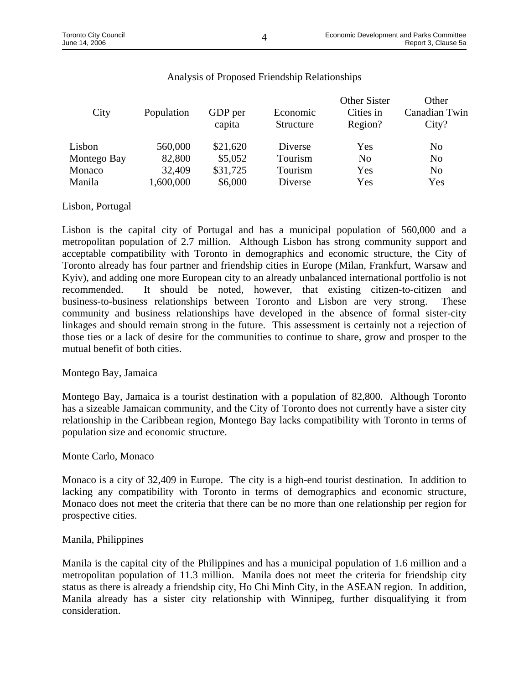$\Omega(t)$ 

 $\Omega$ ther  $\Omega$ ister

| City        | Population | GDP per<br>capita | Economic<br>Structure | Other Sister<br>Cities in<br>Region? | vuner<br>Canadian Twin<br>City? |
|-------------|------------|-------------------|-----------------------|--------------------------------------|---------------------------------|
| Lisbon      | 560,000    | \$21,620          | Diverse               | Yes                                  | N <sub>0</sub>                  |
| Montego Bay | 82,800     | \$5,052           | Tourism               | N <sub>0</sub>                       | N <sub>0</sub>                  |
| Monaco      | 32,409     | \$31,725          | Tourism               | Yes                                  | N <sub>0</sub>                  |
| Manila      | 1,600,000  | \$6,000           | Diverse               | Yes                                  | Yes                             |

# Analysis of Proposed Friendship Relationships

#### Lisbon, Portugal

Lisbon is the capital city of Portugal and has a municipal population of 560,000 and a metropolitan population of 2.7 million. Although Lisbon has strong community support and acceptable compatibility with Toronto in demographics and economic structure, the City of Toronto already has four partner and friendship cities in Europe (Milan, Frankfurt, Warsaw and Kyiv), and adding one more European city to an already unbalanced international portfolio is not recommended. It should be noted, however, that existing citizen-to-citizen and business-to-business relationships between Toronto and Lisbon are very strong. These community and business relationships have developed in the absence of formal sister-city linkages and should remain strong in the future. This assessment is certainly not a rejection of those ties or a lack of desire for the communities to continue to share, grow and prosper to the mutual benefit of both cities.

## Montego Bay, Jamaica

Montego Bay, Jamaica is a tourist destination with a population of 82,800. Although Toronto has a sizeable Jamaican community, and the City of Toronto does not currently have a sister city relationship in the Caribbean region, Montego Bay lacks compatibility with Toronto in terms of population size and economic structure.

#### Monte Carlo, Monaco

Monaco is a city of 32,409 in Europe. The city is a high-end tourist destination. In addition to lacking any compatibility with Toronto in terms of demographics and economic structure, Monaco does not meet the criteria that there can be no more than one relationship per region for prospective cities.

#### Manila, Philippines

Manila is the capital city of the Philippines and has a municipal population of 1.6 million and a metropolitan population of 11.3 million. Manila does not meet the criteria for friendship city status as there is already a friendship city, Ho Chi Minh City, in the ASEAN region. In addition, Manila already has a sister city relationship with Winnipeg, further disqualifying it from consideration.